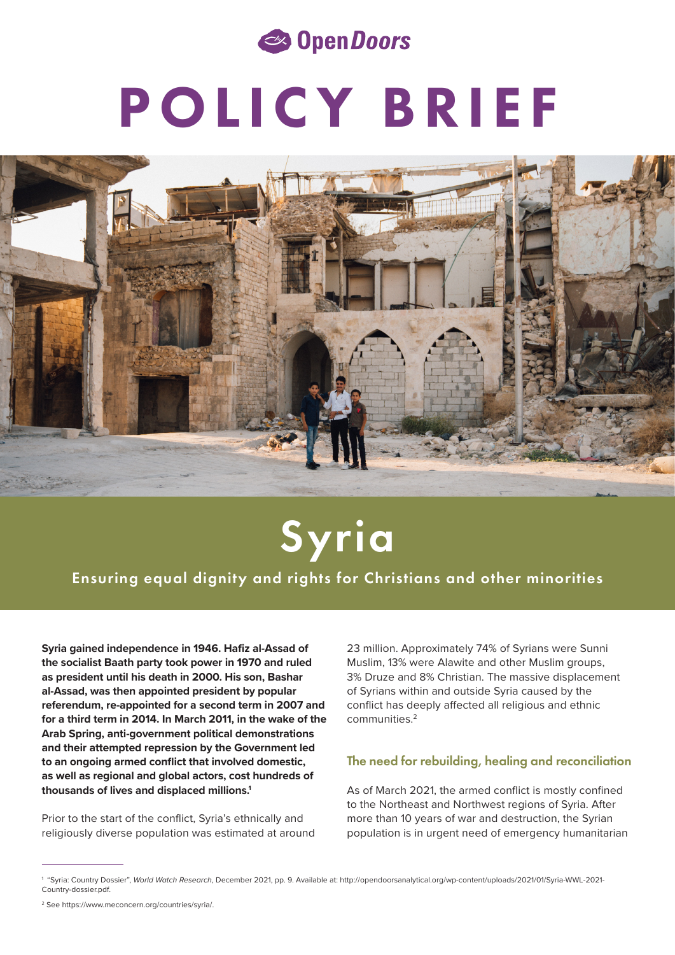

# POLICY BRIEF



## Syria

Ensuring equal dignity and rights for Christians and other minorities

**Syria gained independence in 1946. Hafiz al-Assad of the socialist Baath party took power in 1970 and ruled as president until his death in 2000. His son, Bashar al-Assad, was then appointed president by popular referendum, re-appointed for a second term in 2007 and for a third term in 2014. In March 2011, in the wake of the Arab Spring, anti-government political demonstrations and their attempted repression by the Government led to an ongoing armed conflict that involved domestic, as well as regional and global actors, cost hundreds of thousands of lives and displaced millions.1**

Prior to the start of the conflict, Syria's ethnically and religiously diverse population was estimated at around

23 million. Approximately 74% of Syrians were Sunni Muslim, 13% were Alawite and other Muslim groups, 3% Druze and 8% Christian. The massive displacement of Syrians within and outside Syria caused by the conflict has deeply affected all religious and ethnic communities.2

#### The need for rebuilding, healing and reconciliation

As of March 2021, the armed conflict is mostly confined to the Northeast and Northwest regions of Syria. After more than 10 years of war and destruction, the Syrian population is in urgent need of emergency humanitarian

<sup>1 &</sup>quot;Syria: Country Dossier", *World Watch Research*, December 2021, pp. 9. Available at: http://opendoorsanalytical.org/wp-content/uploads/2021/01/Syria-WWL-2021- Country-dossier.pdf.

<sup>2</sup> See https://www.meconcern.org/countries/syria/.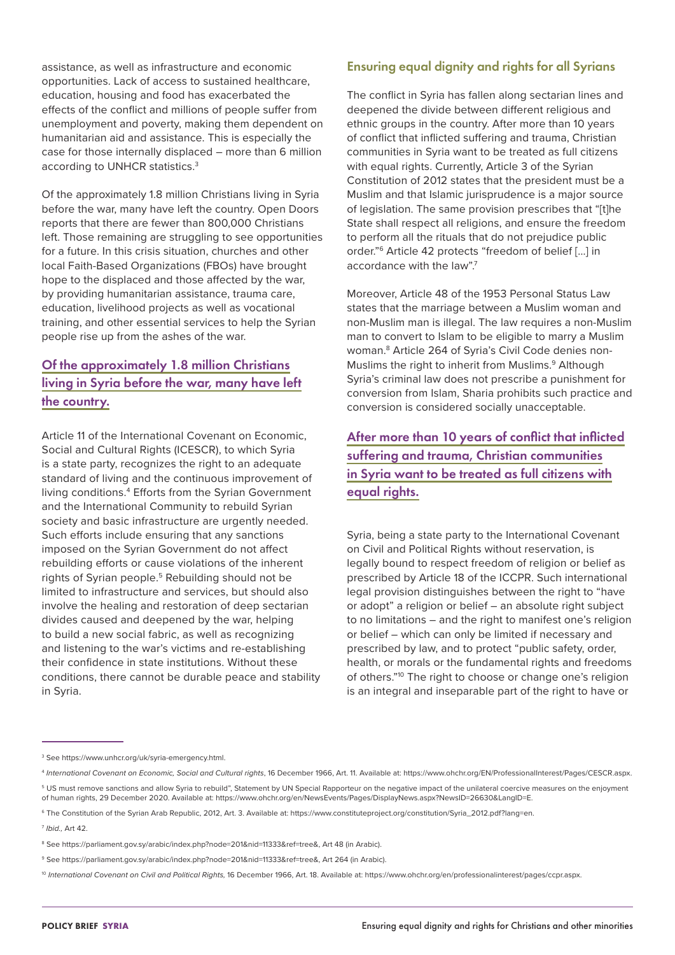assistance, as well as infrastructure and economic opportunities. Lack of access to sustained healthcare, education, housing and food has exacerbated the effects of the conflict and millions of people suffer from unemployment and poverty, making them dependent on humanitarian aid and assistance. This is especially the case for those internally displaced – more than 6 million according to UNHCR statistics.3

Of the approximately 1.8 million Christians living in Syria before the war, many have left the country. Open Doors reports that there are fewer than 800,000 Christians left. Those remaining are struggling to see opportunities for a future. In this crisis situation, churches and other local Faith-Based Organizations (FBOs) have brought hope to the displaced and those affected by the war, by providing humanitarian assistance, trauma care, education, livelihood projects as well as vocational training, and other essential services to help the Syrian people rise up from the ashes of the war.

#### Of the approximately 1.8 million Christians living in Syria before the war, many have left the country.

Article 11 of the International Covenant on Economic, Social and Cultural Rights (ICESCR), to which Syria is a state party, recognizes the right to an adequate standard of living and the continuous improvement of living conditions.4 Efforts from the Syrian Government and the International Community to rebuild Syrian society and basic infrastructure are urgently needed. Such efforts include ensuring that any sanctions imposed on the Syrian Government do not affect rebuilding efforts or cause violations of the inherent rights of Syrian people.<sup>5</sup> Rebuilding should not be limited to infrastructure and services, but should also involve the healing and restoration of deep sectarian divides caused and deepened by the war, helping to build a new social fabric, as well as recognizing and listening to the war's victims and re-establishing their confidence in state institutions. Without these conditions, there cannot be durable peace and stability in Syria.

#### Ensuring equal dignity and rights for all Syrians

The conflict in Syria has fallen along sectarian lines and deepened the divide between different religious and ethnic groups in the country. After more than 10 years of conflict that inflicted suffering and trauma, Christian communities in Syria want to be treated as full citizens with equal rights. Currently, Article 3 of the Syrian Constitution of 2012 states that the president must be a Muslim and that Islamic jurisprudence is a major source of legislation. The same provision prescribes that "[t]he State shall respect all religions, and ensure the freedom to perform all the rituals that do not prejudice public order."6 Article 42 protects "freedom of belief […] in accordance with the law".<sup>7</sup>

Moreover, Article 48 of the 1953 Personal Status Law states that the marriage between a Muslim woman and non-Muslim man is illegal. The law requires a non-Muslim man to convert to Islam to be eligible to marry a Muslim woman.8 Article 264 of Syria's Civil Code denies non-Muslims the right to inherit from Muslims.<sup>9</sup> Although Syria's criminal law does not prescribe a punishment for conversion from Islam, Sharia prohibits such practice and conversion is considered socially unacceptable.

After more than 10 years of conflict that inflicted suffering and trauma, Christian communities in Syria want to be treated as full citizens with equal rights.

Syria, being a state party to the International Covenant on Civil and Political Rights without reservation, is legally bound to respect freedom of religion or belief as prescribed by Article 18 of the ICCPR. Such international legal provision distinguishes between the right to "have or adopt" a religion or belief – an absolute right subject to no limitations – and the right to manifest one's religion or belief – which can only be limited if necessary and prescribed by law, and to protect "public safety, order, health, or morals or the fundamental rights and freedoms of others."10 The right to choose or change one's religion is an integral and inseparable part of the right to have or

<sup>3</sup> See https://www.unhcr.org/uk/syria-emergency.html.

<sup>4</sup>  *International Covenant on Economic, Social and Cultural rights*, 16 December 1966, Art. 11. Available at: https://www.ohchr.org/EN/ProfessionalInterest/Pages/CESCR.aspx.

<sup>5</sup> US must remove sanctions and allow Syria to rebuild", Statement by UN Special Rapporteur on the negative impact of the unilateral coercive measures on the enjoyment of human rights, 29 December 2020. Available at: https://www.ohchr.org/en/NewsEvents/Pages/DisplayNews.aspx?NewsID=26630&LangID=E.

<sup>6</sup> The Constitution of the Syrian Arab Republic, 2012, Art. 3. Available at: https://www.constituteproject.org/constitution/Syria\_2012.pdf?lang=en.

<sup>7</sup> *Ibid.,* Art 42.

<sup>&</sup>lt;sup>8</sup> See https://parliament.gov.sy/arabic/index.php?node=201&nid=11333&ref=tree&, Art 48 (in Arabic).

<sup>9</sup> See https://parliament.gov.sy/arabic/index.php?node=201&nid=11333&ref=tree&, Art 264 (in Arabic).

<sup>&</sup>lt;sup>10</sup> International Covenant on Civil and Political Rights, 16 December 1966, Art. 18. Available at: https://www.ohchr.org/en/professionalinterest/pages/ccpr.aspx.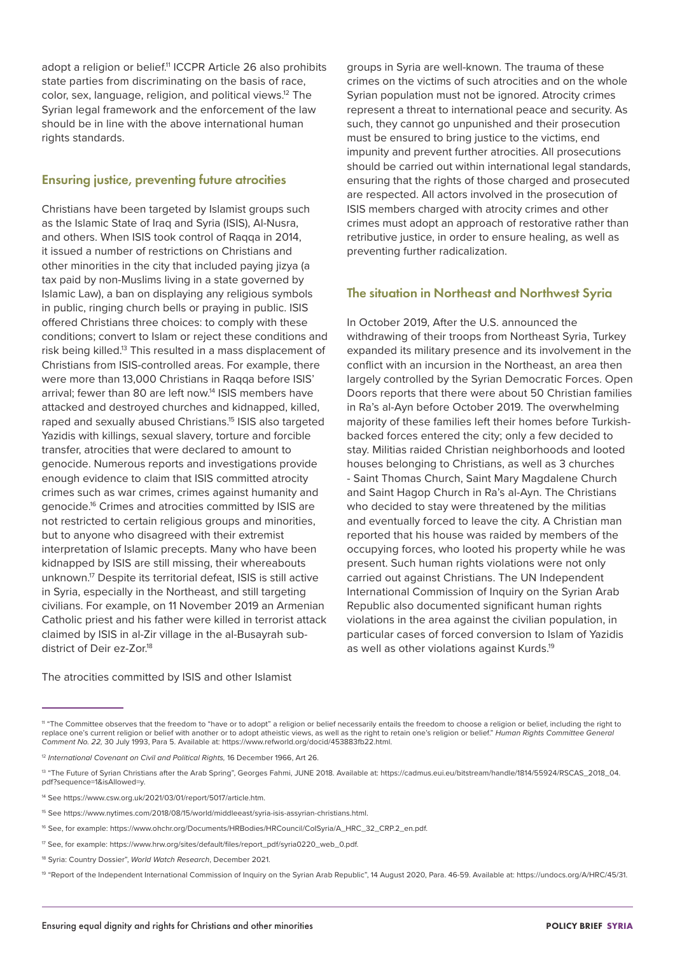adopt a religion or belief.<sup>11</sup> ICCPR Article 26 also prohibits state parties from discriminating on the basis of race, color, sex, language, religion, and political views.12 The Syrian legal framework and the enforcement of the law should be in line with the above international human rights standards.

#### Ensuring justice, preventing future atrocities

Christians have been targeted by Islamist groups such as the Islamic State of Iraq and Syria (ISIS), Al-Nusra, and others. When ISIS took control of Raqqa in 2014, it issued a number of restrictions on Christians and other minorities in the city that included paying jizya (a tax paid by non-Muslims living in a state governed by Islamic Law), a ban on displaying any religious symbols in public, ringing church bells or praying in public. ISIS offered Christians three choices: to comply with these conditions; convert to Islam or reject these conditions and risk being killed.13 This resulted in a mass displacement of Christians from ISIS-controlled areas. For example, there were more than 13,000 Christians in Raqqa before ISIS' arrival; fewer than 80 are left now.<sup>14</sup> ISIS members have attacked and destroyed churches and kidnapped, killed, raped and sexually abused Christians.15 ISIS also targeted Yazidis with killings, sexual slavery, torture and forcible transfer, atrocities that were declared to amount to genocide. Numerous reports and investigations provide enough evidence to claim that ISIS committed atrocity crimes such as war crimes, crimes against humanity and genocide.16 Crimes and atrocities committed by ISIS are not restricted to certain religious groups and minorities, but to anyone who disagreed with their extremist interpretation of Islamic precepts. Many who have been kidnapped by ISIS are still missing, their whereabouts unknown.17 Despite its territorial defeat, ISIS is still active in Syria, especially in the Northeast, and still targeting civilians. For example, on 11 November 2019 an Armenian Catholic priest and his father were killed in terrorist attack claimed by ISIS in al-Zir village in the al-Busayrah subdistrict of Deir ez-Zor.<sup>18</sup>

groups in Syria are well-known. The trauma of these crimes on the victims of such atrocities and on the whole Syrian population must not be ignored. Atrocity crimes represent a threat to international peace and security. As such, they cannot go unpunished and their prosecution must be ensured to bring justice to the victims, end impunity and prevent further atrocities. All prosecutions should be carried out within international legal standards, ensuring that the rights of those charged and prosecuted are respected. All actors involved in the prosecution of ISIS members charged with atrocity crimes and other crimes must adopt an approach of restorative rather than retributive justice, in order to ensure healing, as well as preventing further radicalization.

#### The situation in Northeast and Northwest Syria

In October 2019, After the U.S. announced the withdrawing of their troops from Northeast Syria, Turkey expanded its military presence and its involvement in the conflict with an incursion in the Northeast, an area then largely controlled by the Syrian Democratic Forces. Open Doors reports that there were about 50 Christian families in Ra's al-Ayn before October 2019. The overwhelming majority of these families left their homes before Turkishbacked forces entered the city; only a few decided to stay. Militias raided Christian neighborhoods and looted houses belonging to Christians, as well as 3 churches - Saint Thomas Church, Saint Mary Magdalene Church and Saint Hagop Church in Ra's al-Ayn. The Christians who decided to stay were threatened by the militias and eventually forced to leave the city. A Christian man reported that his house was raided by members of the occupying forces, who looted his property while he was present. Such human rights violations were not only carried out against Christians. The UN Independent International Commission of Inquiry on the Syrian Arab Republic also documented significant human rights violations in the area against the civilian population, in particular cases of forced conversion to Islam of Yazidis as well as other violations against Kurds.19

The atrocities committed by ISIS and other Islamist

<sup>11 &</sup>quot;The Committee observes that the freedom to "have or to adopt" a religion or belief necessarily entails the freedom to choose a religion or belief, including the right to replace one's current religion or belief with another or to adopt atheistic views, as well as the right to retain one's religion or belief." *Human Rights Committee General Comment No. 22,* 30 July 1993, Para 5. Available at: https://www.refworld.org/docid/453883fb22.html.

<sup>12</sup> *International Covenant on Civil and Political Rights,* 16 December 1966, Art 26.

<sup>&</sup>lt;sup>13</sup> "The Future of Syrian Christians after the Arab Spring", Georges Fahmi, JUNE 2018. Available at: https://cadmus.eui.eu/bitstream/handle/1814/55924/RSCAS\_2018\_04. pdf?sequence=1&isAllowed=y.

<sup>14</sup> See https://www.csw.org.uk/2021/03/01/report/5017/article.htm.

<sup>15</sup> See https://www.nytimes.com/2018/08/15/world/middleeast/syria-isis-assyrian-christians.html.

<sup>16</sup> See, for example: https://www.ohchr.org/Documents/HRBodies/HRCouncil/CoISyria/A\_HRC\_32\_CRP.2\_en.pdf.

<sup>17</sup> See, for example: https://www.hrw.org/sites/default/files/report\_pdf/syria0220\_web\_0.pdf.

<sup>18</sup> Syria: Country Dossier", *World Watch Research*, December 2021.

<sup>19 &</sup>quot;Report of the Independent International Commission of Inquiry on the Syrian Arab Republic", 14 August 2020, Para. 46-59. Available at: https://undocs.org/A/HRC/45/31.